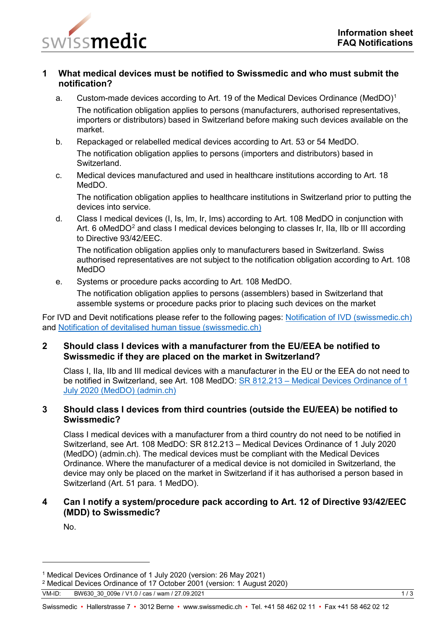

## **1 What medical devices must be notified to Swissmedic and who must submit the notification?**

- a. Custom-made devices according to Art. [1](#page-0-0)9 of the Medical Devices Ordinance (MedDO)<sup>1</sup> The notification obligation applies to persons (manufacturers, authorised representatives, importers or distributors) based in Switzerland before making such devices available on the market.
- b. Repackaged or relabelled medical devices according to Art. 53 or 54 MedDO. The notification obligation applies to persons (importers and distributors) based in Switzerland.
- c. Medical devices manufactured and used in healthcare institutions according to Art. 18 MedDO.

The notification obligation applies to healthcare institutions in Switzerland prior to putting the devices into service.

d. Class I medical devices (I, Is, Im, Ir, Ims) according to Art. 108 MedDO in conjunction with Art. 6 oMedDO<sup>[2](#page-0-1)</sup> and class I medical devices belonging to classes Ir, IIa, IIb or III according to Directive 93/42/EEC.

The notification obligation applies only to manufacturers based in Switzerland. Swiss authorised representatives are not subject to the notification obligation according to Art. 108 MedDO

e. Systems or procedure packs according to Art. 108 MedDO.

The notification obligation applies to persons (assemblers) based in Switzerland that assemble systems or procedure packs prior to placing such devices on the market

For IVD and Devit notifications please refer to the following pages: [Notification of IVD \(swissmedic.ch\)](https://www.swissmedic.ch/swissmedic/en/home/medical-devices/market-access/notification-of-ivd-medical-devices.html) and [Notification of devitalised human tissue \(swissmedic.ch\)](https://www.swissmedic.ch/swissmedic/en/home/medical-devices/market-access/notification-of-devitalised-human-tissue.html)

### **2 Should class I devices with a manufacturer from the EU/EEA be notified to Swissmedic if they are placed on the market in Switzerland?**

Class I, IIa, IIb and III medical devices with a manufacturer in the EU or the EEA do not need to be notified in Switzerland, see Art. 108 MedDO: SR 812.213 – [Medical Devices Ordinance of 1](https://www.fedlex.admin.ch/eli/cc/2020/552/en)  [July 2020 \(MedDO\) \(admin.ch\)](https://www.fedlex.admin.ch/eli/cc/2020/552/en)

## **3 Should class I devices from third countries (outside the EU/EEA) be notified to Swissmedic?**

Class I medical devices with a manufacturer from a third country do not need to be notified in Switzerland, see Art. 108 MedDO: SR 812.213 – [Medical Devices Ordinance of 1 July 2020](https://www.fedlex.admin.ch/eli/cc/2020/552/en)  [\(MedDO\) \(admin.ch\).](https://www.fedlex.admin.ch/eli/cc/2020/552/en) The medical devices must be compliant with the Medical Devices Ordinance. Where the manufacturer of a medical device is not domiciled in Switzerland, the device may only be placed on the market in Switzerland if it has authorised a person based in Switzerland (Art. 51 para. 1 MedDO).

## **4 Can I notify a system/procedure pack according to Art. 12 of Directive 93/42/EEC (MDD) to Swissmedic?**

No.

-

<span id="page-0-0"></span><sup>1</sup> Medical Devices Ordinance of 1 July 2020 (version: 26 May 2021)

<span id="page-0-1"></span><sup>2</sup> Medical Devices Ordinance of 17 October 2001 (version: 1 August 2020)

VM-ID: BW630\_30\_009e / V1.0 / cas / wam / 27.09.2021 1 / 3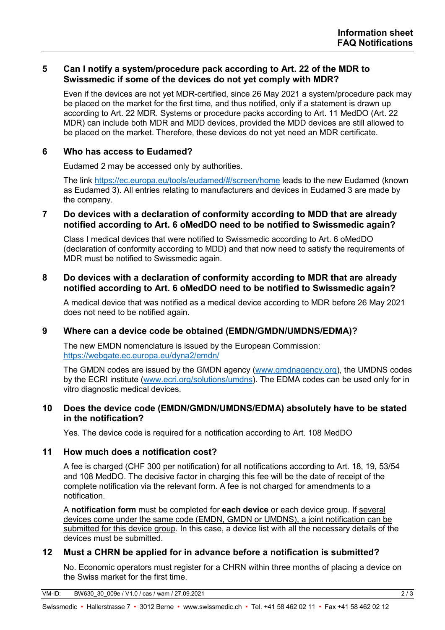## **5 Can I notify a system/procedure pack according to Art. 22 of the MDR to Swissmedic if some of the devices do not yet comply with MDR?**

Even if the devices are not yet MDR-certified, since 26 May 2021 a system/procedure pack may be placed on the market for the first time, and thus notified, only if a statement is drawn up according to Art. 22 MDR. Systems or procedure packs according to Art. 11 MedDO (Art. 22 MDR) can include both MDR and MDD devices, provided the MDD devices are still allowed to be placed on the market. Therefore, these devices do not yet need an MDR certificate.

## **6 Who has access to Eudamed?**

Eudamed 2 may be accessed only by authorities.

The link <https://ec.europa.eu/tools/eudamed/#/screen/home> leads to the new Eudamed (known as Eudamed 3). All entries relating to manufacturers and devices in Eudamed 3 are made by the company.

#### **7 Do devices with a declaration of conformity according to MDD that are already notified according to Art. 6 oMedDO need to be notified to Swissmedic again?**

Class I medical devices that were notified to Swissmedic according to Art. 6 oMedDO (declaration of conformity according to MDD) and that now need to satisfy the requirements of MDR must be notified to Swissmedic again.

### **8 Do devices with a declaration of conformity according to MDR that are already notified according to Art. 6 oMedDO need to be notified to Swissmedic again?**

A medical device that was notified as a medical device according to MDR before 26 May 2021 does not need to be notified again.

# **9 Where can a device code be obtained (EMDN/GMDN/UMDNS/EDMA)?**

The new EMDN nomenclature is issued by the European Commission: <https://webgate.ec.europa.eu/dyna2/emdn/>

The GMDN codes are issued by the GMDN agency [\(www.gmdnagency.org\)](http://www.gmdnagency.org/), the UMDNS codes by the ECRI institute [\(www.ecri.org/solutions/umdns\)](http://www.ecri.org/solutions/umdns). The EDMA codes can be used only for in vitro diagnostic medical devices.

### **10 Does the device code (EMDN/GMDN/UMDNS/EDMA) absolutely have to be stated in the notification?**

Yes. The device code is required for a notification according to Art. 108 MedDO

### **11 How much does a notification cost?**

A fee is charged (CHF 300 per notification) for all notifications according to Art. 18, 19, 53/54 and 108 MedDO. The decisive factor in charging this fee will be the date of receipt of the complete notification via the relevant form. A fee is not charged for amendments to a notification.

A **notification form** must be completed for **each device** or each device group. If several devices come under the same code (EMDN, GMDN or UMDNS), a joint notification can be submitted for this device group. In this case, a device list with all the necessary details of the devices must be submitted.

### **12 Must a CHRN be applied for in advance before a notification is submitted?**

No. Economic operators must register for a CHRN within three months of placing a device on the Swiss market for the first time.

VM-ID: BW630\_30\_009e / V1.0 / cas / wam / 27.09.2021 2 / 3